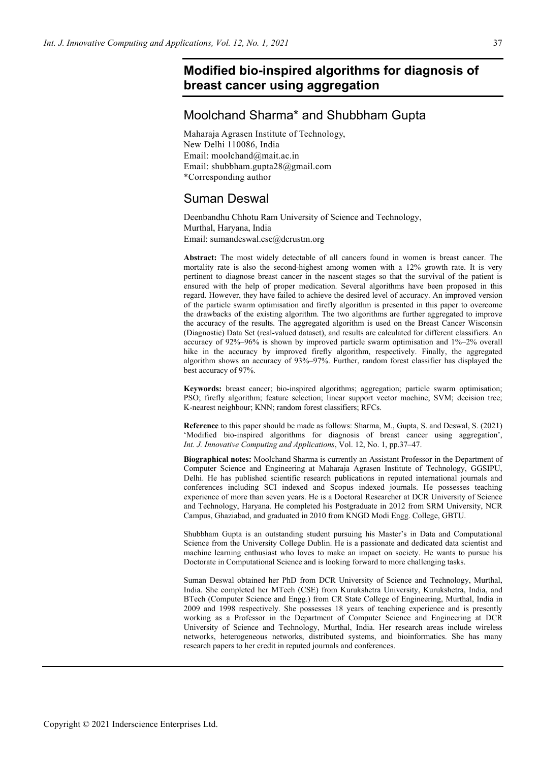# **Modified bio-inspired algorithms for diagnosis of breast cancer using aggregation**

# Moolchand Sharma\* and Shubbham Gupta

Maharaja Agrasen Institute of Technology, New Delhi 110086, India Email: moolchand@mait.ac.in Email: shubbham.gupta28@gmail.com \*Corresponding author

# Suman Deswal

Deenbandhu Chhotu Ram University of Science and Technology, Murthal, Haryana, India Email: sumandeswal.cse@dcrustm.org

**Abstract:** The most widely detectable of all cancers found in women is breast cancer. The mortality rate is also the second-highest among women with a 12% growth rate. It is very pertinent to diagnose breast cancer in the nascent stages so that the survival of the patient is ensured with the help of proper medication. Several algorithms have been proposed in this regard. However, they have failed to achieve the desired level of accuracy. An improved version of the particle swarm optimisation and firefly algorithm is presented in this paper to overcome the drawbacks of the existing algorithm. The two algorithms are further aggregated to improve the accuracy of the results. The aggregated algorithm is used on the Breast Cancer Wisconsin (Diagnostic) Data Set (real-valued dataset), and results are calculated for different classifiers. An accuracy of 92%–96% is shown by improved particle swarm optimisation and 1%–2% overall hike in the accuracy by improved firefly algorithm, respectively. Finally, the aggregated algorithm shows an accuracy of 93%–97%. Further, random forest classifier has displayed the best accuracy of 97%.

**Keywords:** breast cancer; bio-inspired algorithms; aggregation; particle swarm optimisation; PSO; firefly algorithm; feature selection; linear support vector machine; SVM; decision tree; K-nearest neighbour; KNN; random forest classifiers; RFCs.

**Reference** to this paper should be made as follows: Sharma, M., Gupta, S. and Deswal, S. (2021) 'Modified bio-inspired algorithms for diagnosis of breast cancer using aggregation', *Int. J. Innovative Computing and Applications*, Vol. 12, No. 1, pp.37–47.

**Biographical notes:** Moolchand Sharma is currently an Assistant Professor in the Department of Computer Science and Engineering at Maharaja Agrasen Institute of Technology, GGSIPU, Delhi. He has published scientific research publications in reputed international journals and conferences including SCI indexed and Scopus indexed journals. He possesses teaching experience of more than seven years. He is a Doctoral Researcher at DCR University of Science and Technology, Haryana. He completed his Postgraduate in 2012 from SRM University, NCR Campus, Ghaziabad, and graduated in 2010 from KNGD Modi Engg. College, GBTU.

Shubbham Gupta is an outstanding student pursuing his Master's in Data and Computational Science from the University College Dublin. He is a passionate and dedicated data scientist and machine learning enthusiast who loves to make an impact on society. He wants to pursue his Doctorate in Computational Science and is looking forward to more challenging tasks.

Suman Deswal obtained her PhD from DCR University of Science and Technology, Murthal, India. She completed her MTech (CSE) from Kurukshetra University, Kurukshetra, India, and BTech (Computer Science and Engg.) from CR State College of Engineering, Murthal, India in 2009 and 1998 respectively. She possesses 18 years of teaching experience and is presently working as a Professor in the Department of Computer Science and Engineering at DCR University of Science and Technology, Murthal, India. Her research areas include wireless networks, heterogeneous networks, distributed systems, and bioinformatics. She has many research papers to her credit in reputed journals and conferences.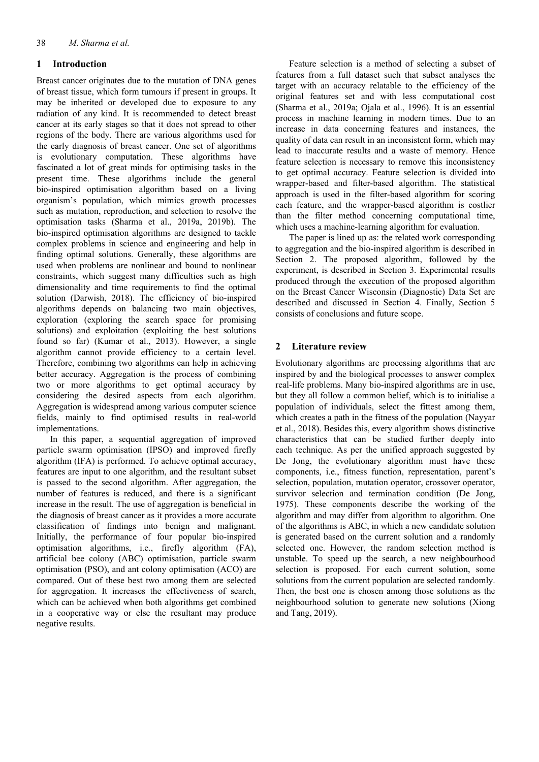# **1 Introduction**

Breast cancer originates due to the mutation of DNA genes of breast tissue, which form tumours if present in groups. It may be inherited or developed due to exposure to any radiation of any kind. It is recommended to detect breast cancer at its early stages so that it does not spread to other regions of the body. There are various algorithms used for the early diagnosis of breast cancer. One set of algorithms is evolutionary computation. These algorithms have fascinated a lot of great minds for optimising tasks in the present time. These algorithms include the general bio-inspired optimisation algorithm based on a living organism's population, which mimics growth processes such as mutation, reproduction, and selection to resolve the optimisation tasks (Sharma et al., 2019a, 2019b). The bio-inspired optimisation algorithms are designed to tackle complex problems in science and engineering and help in finding optimal solutions. Generally, these algorithms are used when problems are nonlinear and bound to nonlinear constraints, which suggest many difficulties such as high dimensionality and time requirements to find the optimal solution (Darwish, 2018). The efficiency of bio-inspired algorithms depends on balancing two main objectives, exploration (exploring the search space for promising solutions) and exploitation (exploiting the best solutions found so far) (Kumar et al., 2013). However, a single algorithm cannot provide efficiency to a certain level. Therefore, combining two algorithms can help in achieving better accuracy. Aggregation is the process of combining two or more algorithms to get optimal accuracy by considering the desired aspects from each algorithm. Aggregation is widespread among various computer science fields, mainly to find optimised results in real-world implementations.

In this paper, a sequential aggregation of improved particle swarm optimisation (IPSO) and improved firefly algorithm (IFA) is performed. To achieve optimal accuracy, features are input to one algorithm, and the resultant subset is passed to the second algorithm. After aggregation, the number of features is reduced, and there is a significant increase in the result. The use of aggregation is beneficial in the diagnosis of breast cancer as it provides a more accurate classification of findings into benign and malignant. Initially, the performance of four popular bio-inspired optimisation algorithms, i.e., firefly algorithm (FA), artificial bee colony (ABC) optimisation, particle swarm optimisation (PSO), and ant colony optimisation (ACO) are compared. Out of these best two among them are selected for aggregation. It increases the effectiveness of search, which can be achieved when both algorithms get combined in a cooperative way or else the resultant may produce negative results.

Feature selection is a method of selecting a subset of features from a full dataset such that subset analyses the target with an accuracy relatable to the efficiency of the original features set and with less computational cost (Sharma et al., 2019a; Ojala et al., 1996). It is an essential process in machine learning in modern times. Due to an increase in data concerning features and instances, the quality of data can result in an inconsistent form, which may lead to inaccurate results and a waste of memory. Hence feature selection is necessary to remove this inconsistency to get optimal accuracy. Feature selection is divided into wrapper-based and filter-based algorithm. The statistical approach is used in the filter-based algorithm for scoring each feature, and the wrapper-based algorithm is costlier than the filter method concerning computational time, which uses a machine-learning algorithm for evaluation.

The paper is lined up as: the related work corresponding to aggregation and the bio-inspired algorithm is described in Section 2. The proposed algorithm, followed by the experiment, is described in Section 3. Experimental results produced through the execution of the proposed algorithm on the Breast Cancer Wisconsin (Diagnostic) Data Set are described and discussed in Section 4. Finally, Section 5 consists of conclusions and future scope.

# **2 Literature review**

Evolutionary algorithms are processing algorithms that are inspired by and the biological processes to answer complex real-life problems. Many bio-inspired algorithms are in use, but they all follow a common belief, which is to initialise a population of individuals, select the fittest among them, which creates a path in the fitness of the population (Nayyar et al., 2018). Besides this, every algorithm shows distinctive characteristics that can be studied further deeply into each technique. As per the unified approach suggested by De Jong, the evolutionary algorithm must have these components, i.e., fitness function, representation, parent's selection, population, mutation operator, crossover operator, survivor selection and termination condition (De Jong, 1975). These components describe the working of the algorithm and may differ from algorithm to algorithm. One of the algorithms is ABC, in which a new candidate solution is generated based on the current solution and a randomly selected one. However, the random selection method is unstable. To speed up the search, a new neighbourhood selection is proposed. For each current solution, some solutions from the current population are selected randomly. Then, the best one is chosen among those solutions as the neighbourhood solution to generate new solutions (Xiong and Tang, 2019).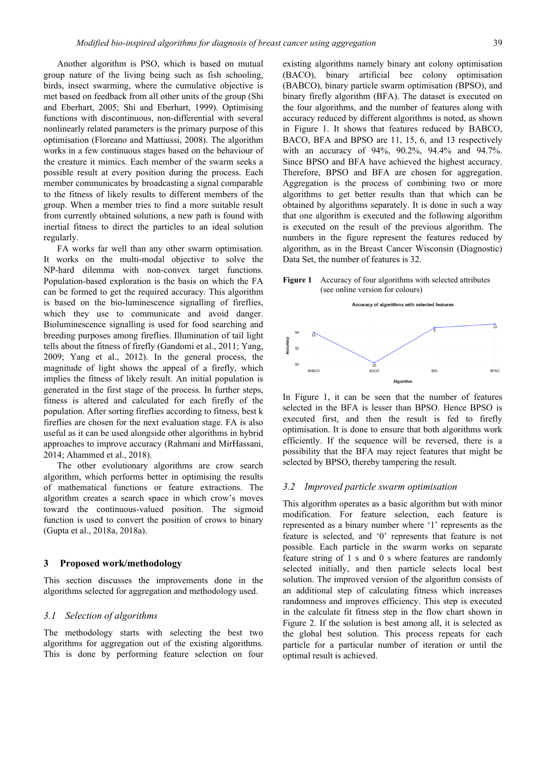Another algorithm is PSO, which is based on mutual group nature of the living being such as fish schooling, birds, insect swarming, where the cumulative objective is met based on feedback from all other units of the group (Shi and Eberhart, 2005; Shi and Eberhart, 1999). Optimising functions with discontinuous, non-differential with several nonlinearly related parameters is the primary purpose of this optimisation (Floreano and Mattiussi, 2008). The algorithm works in a few continuous stages based on the behaviour of the creature it mimics. Each member of the swarm seeks a possible result at every position during the process. Each member communicates by broadcasting a signal comparable to the fitness of likely results to different members of the group. When a member tries to find a more suitable result from currently obtained solutions, a new path is found with inertial fitness to direct the particles to an ideal solution regularly.

FA works far well than any other swarm optimisation. It works on the multi-modal objective to solve the NP-hard dilemma with non-convex target functions. Population-based exploration is the basis on which the FA can be formed to get the required accuracy. This algorithm is based on the bio-luminescence signalling of fireflies, which they use to communicate and avoid danger. Bioluminescence signalling is used for food searching and breeding purposes among fireflies. Illumination of tail light tells about the fitness of firefly (Gandomi et al., 2011; Yang, 2009; Yang et al., 2012). In the general process, the magnitude of light shows the appeal of a firefly, which implies the fitness of likely result. An initial population is generated in the first stage of the process. In further steps, fitness is altered and calculated for each firefly of the population. After sorting fireflies according to fitness, best k fireflies are chosen for the next evaluation stage. FA is also useful as it can be used alongside other algorithms in hybrid approaches to improve accuracy (Rahmani and MirHassani, 2014; Ahammed et al., 2018).

The other evolutionary algorithms are crow search algorithm, which performs better in optimising the results of mathematical functions or feature extractions. The algorithm creates a search space in which crow's moves toward the continuous-valued position. The sigmoid function is used to convert the position of crows to binary (Gupta et al., 2018a, 2018a).

#### **3 Proposed work/methodology**

This section discusses the improvements done in the algorithms selected for aggregation and methodology used.

### *3.1 Selection of algorithms*

The methodology starts with selecting the best two algorithms for aggregation out of the existing algorithms. This is done by performing feature selection on four existing algorithms namely binary ant colony optimisation (BACO), binary artificial bee colony optimisation (BABCO), binary particle swarm optimisation (BPSO), and binary firefly algorithm (BFA). The dataset is executed on the four algorithms, and the number of features along with accuracy reduced by different algorithms is noted, as shown in Figure 1. It shows that features reduced by BABCO, BACO, BFA and BPSO are 11, 15, 6, and 13 respectively with an accuracy of 94%, 90.2%, 94.4% and 94.7%. Since BPSO and BFA have achieved the highest accuracy. Therefore, BPSO and BFA are chosen for aggregation. Aggregation is the process of combining two or more algorithms to get better results than that which can be obtained by algorithms separately. It is done in such a way that one algorithm is executed and the following algorithm is executed on the result of the previous algorithm. The numbers in the figure represent the features reduced by algorithm, as in the Breast Cancer Wisconsin (Diagnostic) Data Set, the number of features is 32.

**Figure 1** Accuracy of four algorithms with selected attributes (see online version for colours)



Accuracy of algorithms with selected features

In Figure 1, it can be seen that the number of features selected in the BFA is lesser than BPSO. Hence BPSO is executed first, and then the result is fed to firefly optimisation. It is done to ensure that both algorithms work efficiently. If the sequence will be reversed, there is a possibility that the BFA may reject features that might be selected by BPSO, thereby tampering the result.

#### *3.2 Improved particle swarm optimisation*

This algorithm operates as a basic algorithm but with minor modification. For feature selection, each feature is represented as a binary number where '1' represents as the feature is selected, and '0' represents that feature is not possible. Each particle in the swarm works on separate feature string of 1 s and 0 s where features are randomly selected initially, and then particle selects local best solution. The improved version of the algorithm consists of an additional step of calculating fitness which increases randomness and improves efficiency. This step is executed in the calculate fit fitness step in the flow chart shown in Figure 2. If the solution is best among all, it is selected as the global best solution. This process repeats for each particle for a particular number of iteration or until the optimal result is achieved.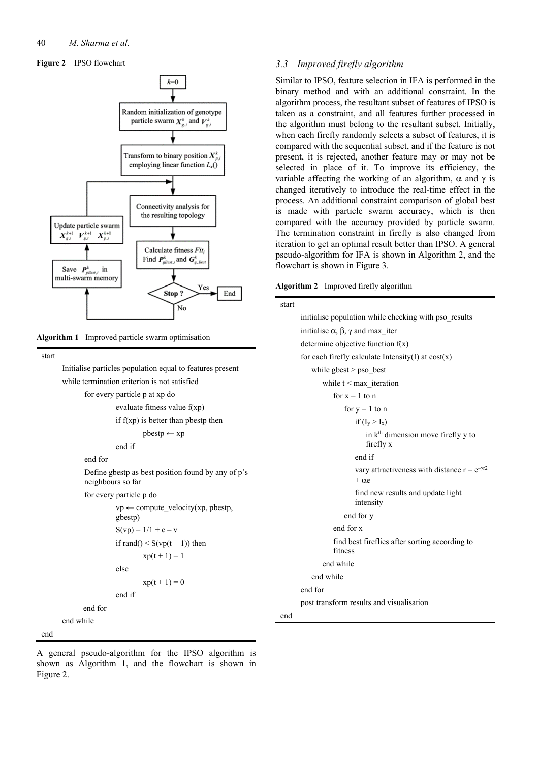#### **Figure 2** IPSO flowchart



**Algorithm 1** Improved particle swarm optimisation

start

 Initialise particles population equal to features present while termination criterion is not satisfied

for every particle p at xp do

```
 evaluate fitness value f(xp) 
if f(xp) is better than pbestp then
          pbestp ← xp 
 end if
```
end for

Define gbestp as best position found by any of p's neighbours so far for every particle p do  $vp \leftarrow compute\ velocity(xp, pbestp,$ 

```
gbestp) 
           S(vp) = 1/1 + e - vif rand() \leq S(vp(t + 1)) then
                    xp(t + 1) = 1 else 
                    xp(t + 1) = 0 end if 
 end for
```
end

end while

## *3.3 Improved firefly algorithm*

Similar to IPSO, feature selection in IFA is performed in the binary method and with an additional constraint. In the algorithm process, the resultant subset of features of IPSO is taken as a constraint, and all features further processed in the algorithm must belong to the resultant subset. Initially, when each firefly randomly selects a subset of features, it is compared with the sequential subset, and if the feature is not present, it is rejected, another feature may or may not be selected in place of it. To improve its efficiency, the variable affecting the working of an algorithm,  $\alpha$  and  $\gamma$  is changed iteratively to introduce the real-time effect in the process. An additional constraint comparison of global best is made with particle swarm accuracy, which is then compared with the accuracy provided by particle swarm. The termination constraint in firefly is also changed from iteration to get an optimal result better than IPSO. A general pseudo-algorithm for IFA is shown in Algorithm 2, and the flowchart is shown in Figure 3.

**Algorithm 2** Improved firefly algorithm

| start |                                                                         |
|-------|-------------------------------------------------------------------------|
|       | initialise population while checking with pso results                   |
|       | initialise $\alpha$ , $\beta$ , $\gamma$ and max iter                   |
|       | determine objective function $f(x)$                                     |
|       | for each firefly calculate Intensity(I) at $cost(x)$                    |
|       | while gbest $>$ pso best                                                |
|       | while $t < max$ iteration                                               |
|       | for $x = 1$ to n                                                        |
|       | for $y = 1$ to n                                                        |
|       | if $(I_v > I_x)$                                                        |
|       | in k <sup>th</sup> dimension move firefly y to<br>firefly x             |
|       | end if                                                                  |
|       | vary attractiveness with distance $r = e^{-\gamma r^2}$<br>$+ \alpha$ e |
|       | find new results and update light<br>intensity                          |
|       | end for y                                                               |
|       | end for x                                                               |
|       | find best fireflies after sorting according to<br>fitness               |
|       | end while                                                               |
|       | end while                                                               |
|       | end for                                                                 |
|       | post transform results and visualisation                                |
| end   |                                                                         |

A general pseudo-algorithm for the IPSO algorithm is shown as Algorithm 1, and the flowchart is shown in Figure 2.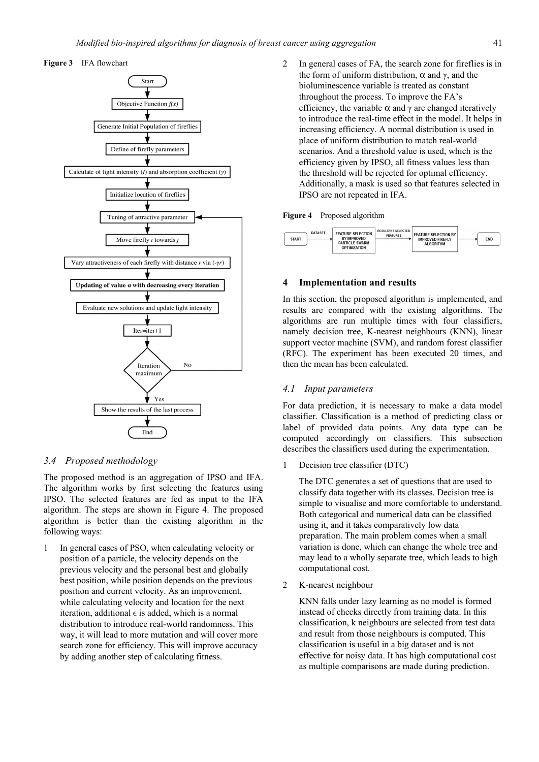



### *3.4 Proposed methodology*

The proposed method is an aggregation of IPSO and IFA. The algorithm works by first selecting the features using IPSO. The selected features are fed as input to the IFA algorithm. The steps are shown in Figure 4. The proposed algorithm is better than the existing algorithm in the following ways:

1 In general cases of PSO, when calculating velocity or position of a particle, the velocity depends on the previous velocity and the personal best and globally best position, while position depends on the previous position and current velocity. As an improvement, while calculating velocity and location for the next iteration, additional  $\epsilon$  is added, which is a normal distribution to introduce real-world randomness. This way, it will lead to more mutation and will cover more search zone for efficiency. This will improve accuracy by adding another step of calculating fitness.

2 In general cases of FA, the search zone for fireflies is in the form of uniform distribution,  $\alpha$  and  $\gamma$ , and the bioluminescence variable is treated as constant throughout the process. To improve the FA's efficiency, the variable  $\alpha$  and  $\gamma$  are changed iteratively to introduce the real-time effect in the model. It helps in increasing efficiency. A normal distribution is used in place of uniform distribution to match real-world scenarios. And a threshold value is used, which is the efficiency given by IPSO, all fitness values less than the threshold will be rejected for optimal efficiency. Additionally, a mask is used so that features selected in IPSO are not repeated in IFA.

#### **Figure 4** Proposed algorithm



## **4 Implementation and results**

In this section, the proposed algorithm is implemented, and results are compared with the existing algorithms. The algorithms are run multiple times with four classifiers, namely decision tree, K-nearest neighbours (KNN), linear support vector machine (SVM), and random forest classifier (RFC). The experiment has been executed 20 times, and then the mean has been calculated.

#### *4.1 Input parameters*

For data prediction, it is necessary to make a data model classifier. Classification is a method of predicting class or label of provided data points. Any data type can be computed accordingly on classifiers. This subsection describes the classifiers used during the experimentation.

1 Decision tree classifier (DTC)

The DTC generates a set of questions that are used to classify data together with its classes. Decision tree is simple to visualise and more comfortable to understand. Both categorical and numerical data can be classified using it, and it takes comparatively low data preparation. The main problem comes when a small variation is done, which can change the whole tree and may lead to a wholly separate tree, which leads to high computational cost.

2 K-nearest neighbour

KNN falls under lazy learning as no model is formed instead of checks directly from training data. In this classification, k neighbours are selected from test data and result from those neighbours is computed. This classification is useful in a big dataset and is not effective for noisy data. It has high computational cost as multiple comparisons are made during prediction.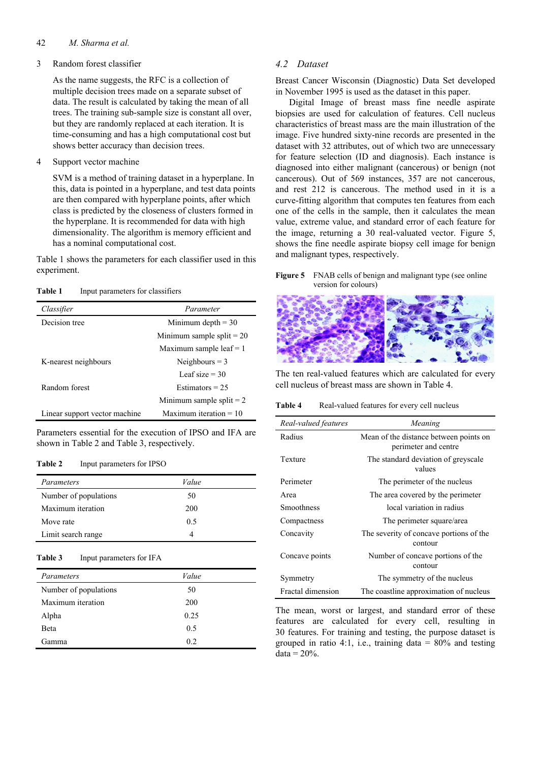### 42 *M. Sharma et al.*

## 3 Random forest classifier

As the name suggests, the RFC is a collection of multiple decision trees made on a separate subset of data. The result is calculated by taking the mean of all trees. The training sub-sample size is constant all over, but they are randomly replaced at each iteration. It is time-consuming and has a high computational cost but shows better accuracy than decision trees.

4 Support vector machine

SVM is a method of training dataset in a hyperplane. In this, data is pointed in a hyperplane, and test data points are then compared with hyperplane points, after which class is predicted by the closeness of clusters formed in the hyperplane. It is recommended for data with high dimensionality. The algorithm is memory efficient and has a nominal computational cost.

Table 1 shows the parameters for each classifier used in this experiment.

**Table 1** Input parameters for classifiers

| Classifier                    | Parameter                   |  |
|-------------------------------|-----------------------------|--|
| Decision tree                 | Minimum depth $=$ 30        |  |
|                               | Minimum sample split $= 20$ |  |
|                               | Maximum sample leaf $= 1$   |  |
| K-nearest neighbours          | Neighbours $=$ 3            |  |
|                               | Leaf size $=$ 30            |  |
| Random forest                 | Estimators $= 25$           |  |
|                               | Minimum sample split $= 2$  |  |
| Linear support vector machine | Maximum iteration $= 10$    |  |

Parameters essential for the execution of IPSO and IFA are shown in Table 2 and Table 3, respectively.

#### **Table 2** Input parameters for IPSO

| Parameters            | Value |  |
|-----------------------|-------|--|
| Number of populations | 50    |  |
| Maximum iteration     | 200   |  |
| Move rate             | 0.5   |  |
| Limit search range    |       |  |

| <b>Table 3</b> | Input parameters for IFA |
|----------------|--------------------------|
|----------------|--------------------------|

| Parameters            | Value |
|-----------------------|-------|
| Number of populations | 50    |
| Maximum iteration     | 200   |
| Alpha                 | 0.25  |
| <b>B</b> eta          | 0.5   |
| Gamma                 | 0.2   |

## *4.2 Dataset*

Breast Cancer Wisconsin (Diagnostic) Data Set developed in November 1995 is used as the dataset in this paper.

Digital Image of breast mass fine needle aspirate biopsies are used for calculation of features. Cell nucleus characteristics of breast mass are the main illustration of the image. Five hundred sixty-nine records are presented in the dataset with 32 attributes, out of which two are unnecessary for feature selection (ID and diagnosis). Each instance is diagnosed into either malignant (cancerous) or benign (not cancerous). Out of 569 instances, 357 are not cancerous, and rest 212 is cancerous. The method used in it is a curve-fitting algorithm that computes ten features from each one of the cells in the sample, then it calculates the mean value, extreme value, and standard error of each feature for the image, returning a 30 real-valuated vector. Figure 5, shows the fine needle aspirate biopsy cell image for benign and malignant types, respectively.

**Figure 5** FNAB cells of benign and malignant type (see online version for colours)



The ten real-valued features which are calculated for every cell nucleus of breast mass are shown in Table 4.

Table 4 Real-valued features for every cell nucleus

| Real-valued features | Meaning                                                        |  |
|----------------------|----------------------------------------------------------------|--|
| Radius               | Mean of the distance between points on<br>perimeter and centre |  |
| Texture              | The standard deviation of greyscale<br>values                  |  |
| Perimeter            | The perimeter of the nucleus                                   |  |
| Area                 | The area covered by the perimeter                              |  |
| Smoothness           | local variation in radius                                      |  |
| Compactness          | The perimeter square/area                                      |  |
| Concavity            | The severity of concave portions of the<br>contour             |  |
| Concave points       | Number of concave portions of the<br>contour                   |  |
| Symmetry             | The symmetry of the nucleus                                    |  |
| Fractal dimension    | The coastline approximation of nucleus                         |  |

The mean, worst or largest, and standard error of these features are calculated for every cell, resulting in 30 features. For training and testing, the purpose dataset is grouped in ratio 4:1, i.e., training data  $= 80\%$  and testing  $data = 20\%$ .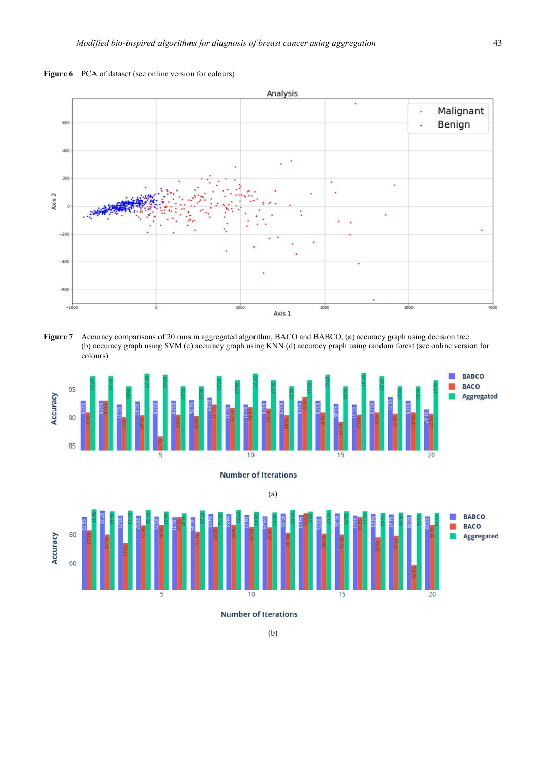



**Figure 7** Accuracy comparisons of 20 runs in aggregated algorithm, BACO and BABCO, (a) accuracy graph using decision tree (b) accuracy graph using SVM (c) accuracy graph using KNN (d) accuracy graph using random forest (see online version for colours)



**Number of Iterations** 



**Number of Iterations**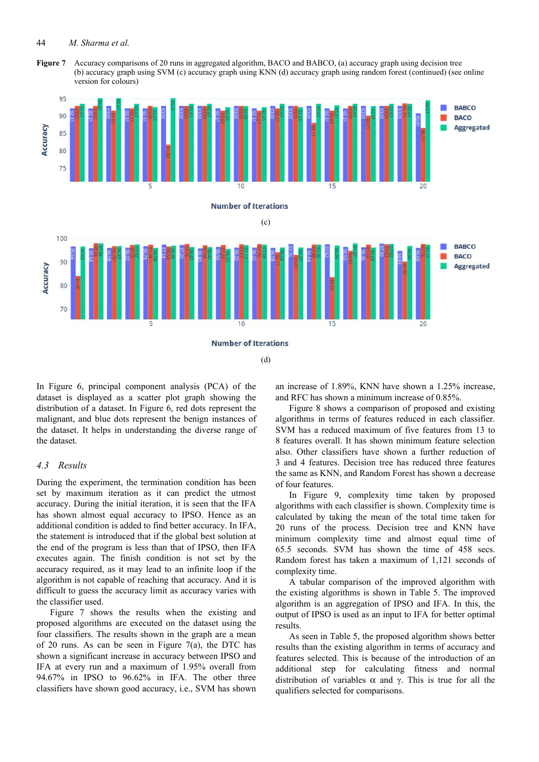#### 44 *M. Sharma et al.*

**Figure 7** Accuracy comparisons of 20 runs in aggregated algorithm, BACO and BABCO, (a) accuracy graph using decision tree (b) accuracy graph using SVM (c) accuracy graph using KNN (d) accuracy graph using random forest (continued) (see online version for colours)



**Number of Iterations** 

(d)

In Figure 6, principal component analysis (PCA) of the dataset is displayed as a scatter plot graph showing the distribution of a dataset. In Figure 6, red dots represent the malignant, and blue dots represent the benign instances of the dataset. It helps in understanding the diverse range of the dataset.

## *4.3 Results*

During the experiment, the termination condition has been set by maximum iteration as it can predict the utmost accuracy. During the initial iteration, it is seen that the IFA has shown almost equal accuracy to IPSO. Hence as an additional condition is added to find better accuracy. In IFA, the statement is introduced that if the global best solution at the end of the program is less than that of IPSO, then IFA executes again. The finish condition is not set by the accuracy required, as it may lead to an infinite loop if the algorithm is not capable of reaching that accuracy. And it is difficult to guess the accuracy limit as accuracy varies with the classifier used.

Figure 7 shows the results when the existing and proposed algorithms are executed on the dataset using the four classifiers. The results shown in the graph are a mean of 20 runs. As can be seen in Figure  $7(a)$ , the DTC has shown a significant increase in accuracy between IPSO and IFA at every run and a maximum of 1.95% overall from 94.67% in IPSO to 96.62% in IFA. The other three classifiers have shown good accuracy, i.e., SVM has shown an increase of 1.89%, KNN have shown a 1.25% increase, and RFC has shown a minimum increase of 0.85%.

Figure 8 shows a comparison of proposed and existing algorithms in terms of features reduced in each classifier. SVM has a reduced maximum of five features from 13 to 8 features overall. It has shown minimum feature selection also. Other classifiers have shown a further reduction of 3 and 4 features. Decision tree has reduced three features the same as KNN, and Random Forest has shown a decrease of four features.

In Figure 9, complexity time taken by proposed algorithms with each classifier is shown. Complexity time is calculated by taking the mean of the total time taken for 20 runs of the process. Decision tree and KNN have minimum complexity time and almost equal time of 65.5 seconds. SVM has shown the time of 458 secs. Random forest has taken a maximum of 1,121 seconds of complexity time.

A tabular comparison of the improved algorithm with the existing algorithms is shown in Table 5. The improved algorithm is an aggregation of IPSO and IFA. In this, the output of IPSO is used as an input to IFA for better optimal results.

As seen in Table 5, the proposed algorithm shows better results than the existing algorithm in terms of accuracy and features selected. This is because of the introduction of an additional step for calculating fitness and normal distribution of variables α and γ. This is true for all the qualifiers selected for comparisons.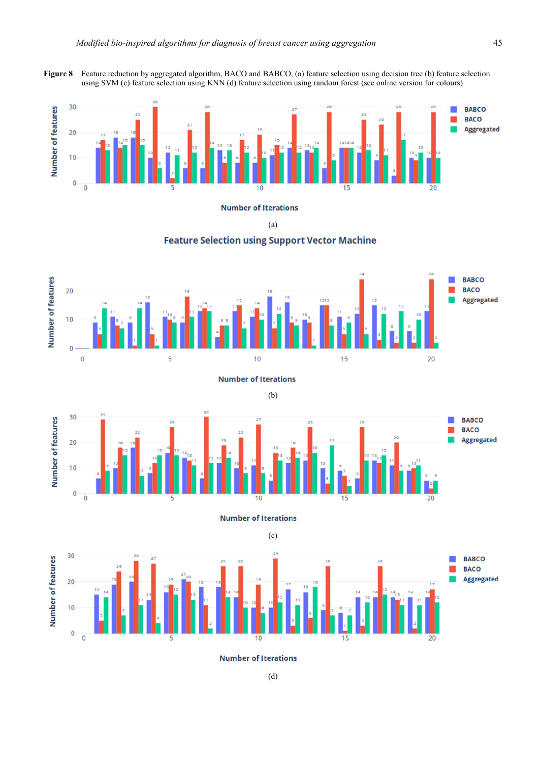**Figure 8** Feature reduction by aggregated algorithm, BACO and BABCO, (a) feature selection using decision tree (b) feature selection using SVM (c) feature selection using KNN (d) feature selection using random forest (see online version for colours)



**Number of Iterations** 

(a)

## **Feature Selection using Support Vector Machine**









**Number of Iterations** 



(c)

**Number of Iterations**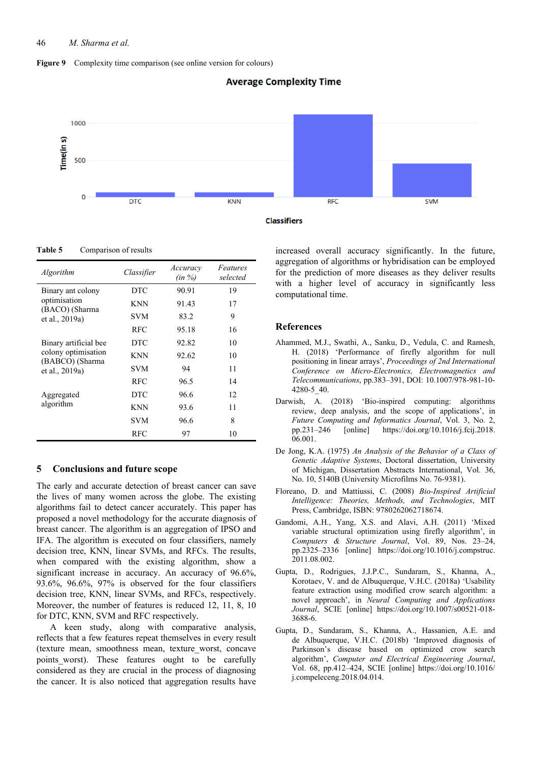







**Table 5** Comparison of results

| Algorithm                              | Classifier | Accuracy<br>(in %) | Features<br>selected |
|----------------------------------------|------------|--------------------|----------------------|
| Binary ant colony                      | <b>DTC</b> | 90.91              | 19                   |
| optimisation<br>(BACO) (Sharma         | <b>KNN</b> | 91.43              | 17                   |
| et al., 2019a)                         | <b>SVM</b> | 83.2               | 9                    |
|                                        | <b>RFC</b> | 95.18              | 16                   |
| Binary artificial bee                  | <b>DTC</b> | 92.82              | 10                   |
| colony optimisation<br>(BABCO) (Sharma | <b>KNN</b> | 92.62              | 10                   |
| et al., 2019a)                         | <b>SVM</b> | 94                 | 11                   |
|                                        | <b>RFC</b> | 96.5               | 14                   |
| Aggregated                             | <b>DTC</b> | 96.6               | 12                   |
| algorithm                              | <b>KNN</b> | 93.6               | 11                   |
|                                        | <b>SVM</b> | 96.6               | 8                    |
|                                        | RFC        | 97                 | 10                   |

## **5 Conclusions and future scope**

The early and accurate detection of breast cancer can save the lives of many women across the globe. The existing algorithms fail to detect cancer accurately. This paper has proposed a novel methodology for the accurate diagnosis of breast cancer. The algorithm is an aggregation of IPSO and IFA. The algorithm is executed on four classifiers, namely decision tree, KNN, linear SVMs, and RFCs. The results, when compared with the existing algorithm, show a significant increase in accuracy. An accuracy of 96.6%, 93.6%, 96.6%, 97% is observed for the four classifiers decision tree, KNN, linear SVMs, and RFCs, respectively. Moreover, the number of features is reduced 12, 11, 8, 10 for DTC, KNN, SVM and RFC respectively.

A keen study, along with comparative analysis, reflects that a few features repeat themselves in every result (texture mean, smoothness mean, texture\_worst, concave points worst). These features ought to be carefully considered as they are crucial in the process of diagnosing the cancer. It is also noticed that aggregation results have increased overall accuracy significantly. In the future, aggregation of algorithms or hybridisation can be employed for the prediction of more diseases as they deliver results with a higher level of accuracy in significantly less computational time.

### **References**

- Ahammed, M.J., Swathi, A., Sanku, D., Vedula, C. and Ramesh, H. (2018) 'Performance of firefly algorithm for null positioning in linear arrays', *Proceedings of 2nd International Conference on Micro-Electronics, Electromagnetics and Telecommunications*, pp.383–391, DOI: 10.1007/978-981-10- 4280-5\_40.
- Darwish, A. (2018) 'Bio-inspired computing: algorithms review, deep analysis, and the scope of applications', in *Future Computing and Informatics Journal*, Vol. 3, No. 2, pp.231–246 [online] https://doi.org/10.1016/j.fcij.2018. 06.001.
- De Jong, K.A. (1975) *An Analysis of the Behavior of a Class of Genetic Adaptive Systems*, Doctoral dissertation, University of Michigan, Dissertation Abstracts International, Vol. 36, No. 10, 5140B (University Microfilms No. 76-9381).
- Floreano, D. and Mattiussi, C. (2008) *Bio-Inspired Artificial Intelligence: Theories, Methods, and Technologies*, MIT Press, Cambridge, ISBN: 9780262062718674.
- Gandomi, A.H., Yang, X.S. and Alavi, A.H. (2011) 'Mixed variable structural optimization using firefly algorithm', in *Computers & Structure Journal*, Vol. 89, Nos. 23–24, pp.2325–2336 [online] https://doi.org/10.1016/j.compstruc. 2011.08.002.
- Gupta, D., Rodrigues, J.J.P.C., Sundaram, S., Khanna, A., Korotaev, V. and de Albuquerque, V.H.C. (2018a) 'Usability feature extraction using modified crow search algorithm: a novel approach', in *Neural Computing and Applications Journal*, SCIE [online] https://doi.org/10.1007/s00521-018- 3688-6.
- Gupta, D., Sundaram, S., Khanna, A., Hassanien, A.E. and de Albuquerque, V.H.C. (2018b) 'Improved diagnosis of Parkinson's disease based on optimized crow search algorithm', *Computer and Electrical Engineering Journal*, Vol. 68, pp.412–424, SCIE [online] https://doi.org/10.1016/ j.compeleceng.2018.04.014.